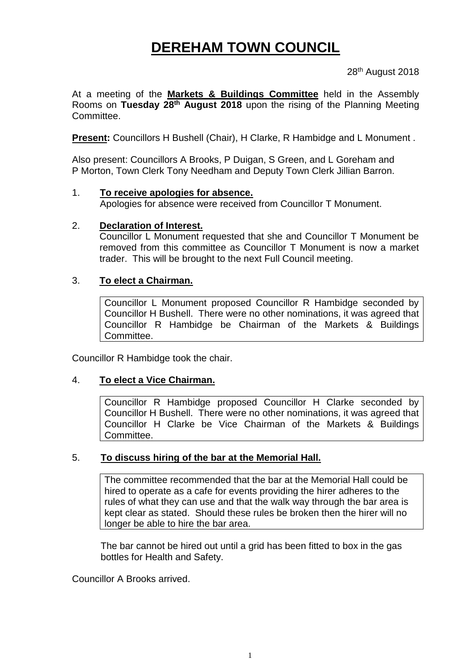# **DEREHAM TOWN COUNCIL**

28<sup>th</sup> August 2018

At a meeting of the **Markets & Buildings Committee** held in the Assembly Rooms on **Tuesday 28th August 2018** upon the rising of the Planning Meeting Committee.

**Present:** Councillors H Bushell (Chair), H Clarke, R Hambidge and L Monument .

Also present: Councillors A Brooks, P Duigan, S Green, and L Goreham and P Morton, Town Clerk Tony Needham and Deputy Town Clerk Jillian Barron.

#### 1. **To receive apologies for absence.**

Apologies for absence were received from Councillor T Monument.

#### 2. **Declaration of Interest.**

Councillor L Monument requested that she and Councillor T Monument be removed from this committee as Councillor T Monument is now a market trader. This will be brought to the next Full Council meeting.

#### 3. **To elect a Chairman.**

Councillor L Monument proposed Councillor R Hambidge seconded by Councillor H Bushell. There were no other nominations, it was agreed that Councillor R Hambidge be Chairman of the Markets & Buildings Committee.

Councillor R Hambidge took the chair.

## 4. **To elect a Vice Chairman.**

Councillor R Hambidge proposed Councillor H Clarke seconded by Councillor H Bushell. There were no other nominations, it was agreed that Councillor H Clarke be Vice Chairman of the Markets & Buildings Committee.

## 5. **To discuss hiring of the bar at the Memorial Hall.**

The committee recommended that the bar at the Memorial Hall could be hired to operate as a cafe for events providing the hirer adheres to the rules of what they can use and that the walk way through the bar area is kept clear as stated. Should these rules be broken then the hirer will no longer be able to hire the bar area.

The bar cannot be hired out until a grid has been fitted to box in the gas bottles for Health and Safety.

Councillor A Brooks arrived.